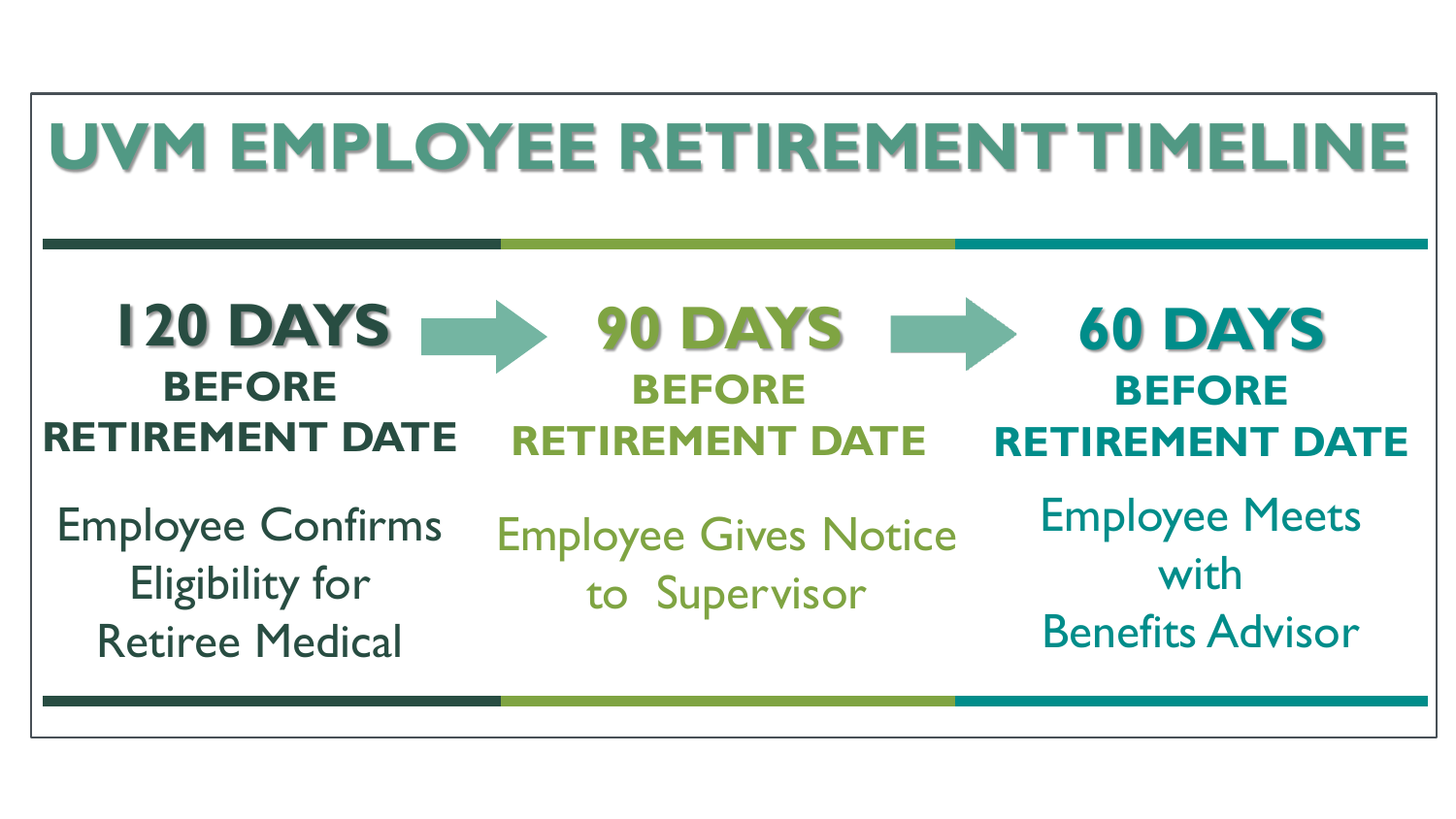